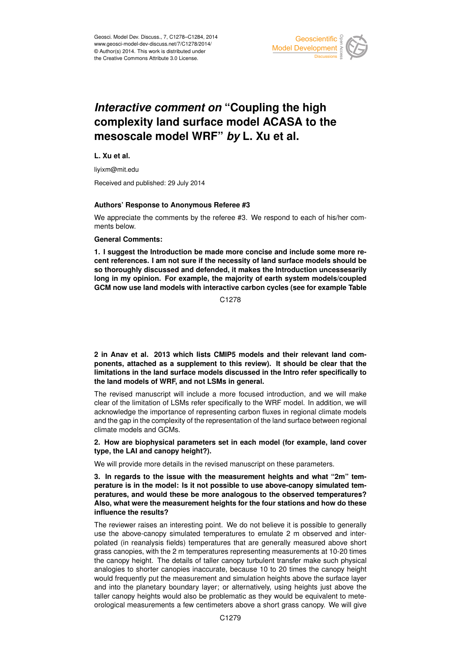

# *Interactive comment on* **"Coupling the high complexity land surface model ACASA to the mesoscale model WRF"** *by* **L. Xu et al.**

**L. Xu et al.**

liyixm@mit.edu

Received and published: 29 July 2014

## **Authors' Response to Anonymous Referee #3**

We appreciate the comments by the referee #3. We respond to each of his/her comments below.

## **General Comments:**

**1. I suggest the Introduction be made more concise and include some more recent references. I am not sure if the necessity of land surface models should be so thoroughly discussed and defended, it makes the Introduction uncessesarily long in my opinion. For example, the majority of earth system models/coupled GCM now use land models with interactive carbon cycles (see for example Table**

C1278

**2 in Anav et al. 2013 which lists CMIP5 models and their relevant land components, attached as a supplement to this review). It should be clear that the limitations in the land surface models discussed in the Intro refer specifically to the land models of WRF, and not LSMs in general.**

The revised manuscript will include a more focused introduction, and we will make clear of the limitation of LSMs refer specifically to the WRF model. In addition, we will acknowledge the importance of representing carbon fluxes in regional climate models and the gap in the complexity of the representation of the land surface between regional climate models and GCMs.

# **2. How are biophysical parameters set in each model (for example, land cover type, the LAI and canopy height?).**

We will provide more details in the revised manuscript on these parameters.

**3. In regards to the issue with the measurement heights and what "2m" temperature is in the model: Is it not possible to use above-canopy simulated temperatures, and would these be more analogous to the observed temperatures? Also, what were the measurement heights for the four stations and how do these influence the results?**

The reviewer raises an interesting point. We do not believe it is possible to generally use the above-canopy simulated temperatures to emulate 2 m observed and interpolated (in reanalysis fields) temperatures that are generally measured above short grass canopies, with the 2 m temperatures representing measurements at 10-20 times the canopy height. The details of taller canopy turbulent transfer make such physical analogies to shorter canopies inaccurate, because 10 to 20 times the canopy height would frequently put the measurement and simulation heights above the surface layer and into the planetary boundary layer; or alternatively, using heights just above the taller canopy heights would also be problematic as they would be equivalent to meteorological measurements a few centimeters above a short grass canopy. We will give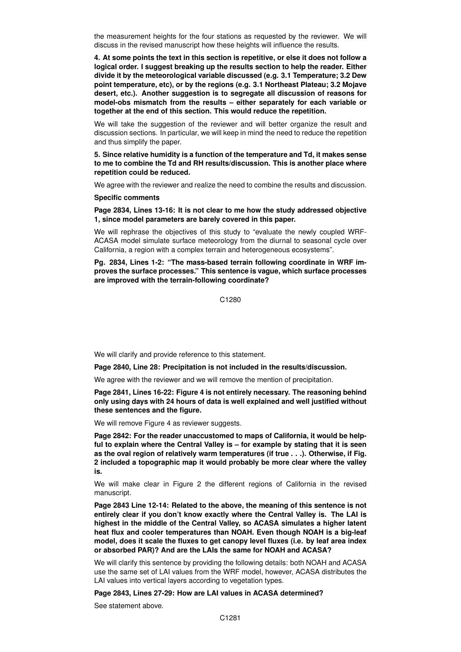the measurement heights for the four stations as requested by the reviewer. We will discuss in the revised manuscript how these heights will influence the results.

**4. At some points the text in this section is repetitive, or else it does not follow a logical order. I suggest breaking up the results section to help the reader. Either divide it by the meteorological variable discussed (e.g. 3.1 Temperature; 3.2 Dew point temperature, etc), or by the regions (e.g. 3.1 Northeast Plateau; 3.2 Mojave desert, etc.). Another suggestion is to segregate all discussion of reasons for model-obs mismatch from the results – either separately for each variable or together at the end of this section. This would reduce the repetition.**

We will take the suggestion of the reviewer and will better organize the result and discussion sections. In particular, we will keep in mind the need to reduce the repetition and thus simplify the paper.

**5. Since relative humidity is a function of the temperature and Td, it makes sense to me to combine the Td and RH results/discussion. This is another place where repetition could be reduced.**

We agree with the reviewer and realize the need to combine the results and discussion.

#### **Specific comments**

**Page 2834, Lines 13-16: It is not clear to me how the study addressed objective 1, since model parameters are barely covered in this paper.**

We will rephrase the objectives of this study to "evaluate the newly coupled WRF-ACASA model simulate surface meteorology from the diurnal to seasonal cycle over California, a region with a complex terrain and heterogeneous ecosystems".

**Pg. 2834, Lines 1-2: "The mass-based terrain following coordinate in WRF improves the surface processes." This sentence is vague, which surface processes are improved with the terrain-following coordinate?**

C1280

We will clarify and provide reference to this statement.

**Page 2840, Line 28: Precipitation is not included in the results/discussion.**

We agree with the reviewer and we will remove the mention of precipitation.

**Page 2841, Lines 16-22: Figure 4 is not entirely necessary. The reasoning behind only using days with 24 hours of data is well explained and well justified without these sentences and the figure.**

We will remove Figure 4 as reviewer suggests.

**Page 2842: For the reader unaccustomed to maps of California, it would be helpful to explain where the Central Valley is – for example by stating that it is seen as the oval region of relatively warm temperatures (if true . . .). Otherwise, if Fig. 2 included a topographic map it would probably be more clear where the valley is.**

We will make clear in Figure 2 the different regions of California in the revised manuscript.

**Page 2843 Line 12-14: Related to the above, the meaning of this sentence is not entirely clear if you don't know exactly where the Central Valley is. The LAI is highest in the middle of the Central Valley, so ACASA simulates a higher latent heat flux and cooler temperatures than NOAH. Even though NOAH is a big-leaf model, does it scale the fluxes to get canopy level fluxes (i.e. by leaf area index or absorbed PAR)? And are the LAIs the same for NOAH and ACASA?**

We will clarify this sentence by providing the following details: both NOAH and ACASA use the same set of LAI values from the WRF model, however, ACASA distributes the LAI values into vertical layers according to vegetation types.

**Page 2843, Lines 27-29: How are LAI values in ACASA determined?**

See statement above.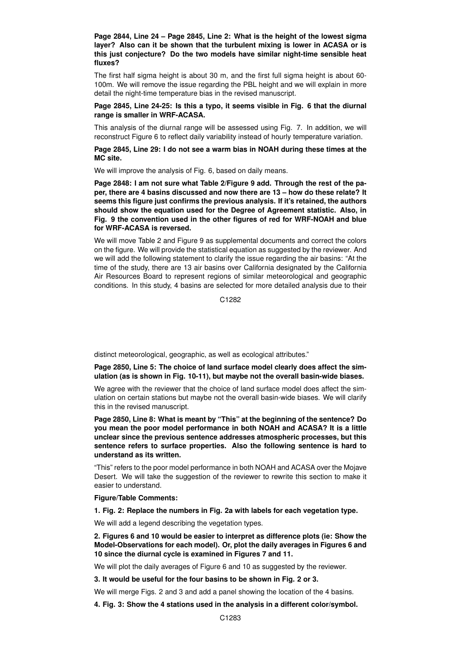**Page 2844, Line 24 – Page 2845, Line 2: What is the height of the lowest sigma layer? Also can it be shown that the turbulent mixing is lower in ACASA or is this just conjecture? Do the two models have similar night-time sensible heat fluxes?**

The first half sigma height is about 30 m, and the first full sigma height is about 60- 100m. We will remove the issue regarding the PBL height and we will explain in more detail the night-time temperature bias in the revised manuscript.

## **Page 2845, Line 24-25: Is this a typo, it seems visible in Fig. 6 that the diurnal range is smaller in WRF-ACASA.**

This analysis of the diurnal range will be assessed using Fig. 7. In addition, we will reconstruct Figure 6 to reflect daily variability instead of hourly temperature variation.

**Page 2845, Line 29: I do not see a warm bias in NOAH during these times at the MC site.**

We will improve the analysis of Fig. 6, based on daily means.

**Page 2848: I am not sure what Table 2/Figure 9 add. Through the rest of the paper, there are 4 basins discussed and now there are 13 – how do these relate? It seems this figure just confirms the previous analysis. If it's retained, the authors should show the equation used for the Degree of Agreement statistic. Also, in Fig. 9 the convention used in the other figures of red for WRF-NOAH and blue for WRF-ACASA is reversed.**

We will move Table 2 and Figure 9 as supplemental documents and correct the colors on the figure. We will provide the statistical equation as suggested by the reviewer. And we will add the following statement to clarify the issue regarding the air basins: "At the time of the study, there are 13 air basins over California designated by the California Air Resources Board to represent regions of similar meteorological and geographic conditions. In this study, 4 basins are selected for more detailed analysis due to their

C<sub>1282</sub>

distinct meteorological, geographic, as well as ecological attributes."

**Page 2850, Line 5: The choice of land surface model clearly does affect the simulation (as is shown in Fig. 10-11), but maybe not the overall basin-wide biases.**

We agree with the reviewer that the choice of land surface model does affect the simulation on certain stations but maybe not the overall basin-wide biases. We will clarify this in the revised manuscript.

**Page 2850, Line 8: What is meant by "This" at the beginning of the sentence? Do you mean the poor model performance in both NOAH and ACASA? It is a little unclear since the previous sentence addresses atmospheric processes, but this sentence refers to surface properties. Also the following sentence is hard to understand as its written.**

"This" refers to the poor model performance in both NOAH and ACASA over the Mojave Desert. We will take the suggestion of the reviewer to rewrite this section to make it easier to understand.

**Figure/Table Comments:**

**1. Fig. 2: Replace the numbers in Fig. 2a with labels for each vegetation type.**

We will add a legend describing the vegetation types.

**2. Figures 6 and 10 would be easier to interpret as difference plots (ie: Show the Model-Observations for each model). Or, plot the daily averages in Figures 6 and 10 since the diurnal cycle is examined in Figures 7 and 11.**

We will plot the daily averages of Figure 6 and 10 as suggested by the reviewer.

**3. It would be useful for the four basins to be shown in Fig. 2 or 3.**

We will merge Figs. 2 and 3 and add a panel showing the location of the 4 basins.

**4. Fig. 3: Show the 4 stations used in the analysis in a different color/symbol.**